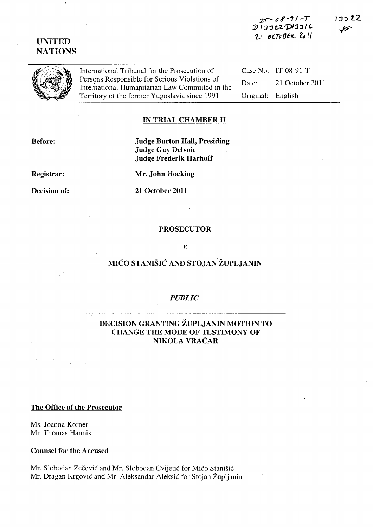z:r~ IJ *R-' /-7*  D 1 J J 22-D 1 2316  $21$  octuben 2011

# UNITED **NATIONS**

International Tribunal for the Prosecution of Persons Responsible for Serious Violations of International Humanitarian Law Committed in the Territory of the former Yugoslavia since 1991

Case No: IT-08-91-T Date: 21 October 2011 Original:. English

#### IN TRIAL CHAMBER 11

Before:

Judge Burton Hall, Presiding Judge Guy Delvoie Judge Frederik.Harhoff

Registrar:

Decision of:

Mr. John Hocking

21 October 2011

#### PROSECUTOR

#### *v.*

# MIĆO STANIŠIĆ AND STOJAN ŽUPLJANIN

#### *PUBLIC*

# DECISION GRANTING ZUPLJANIN MOTION TO CHANGE THE MODE OF TESTIMONY OF NIKOLA VRACAR

The Office of the Prosecutor

Ms. Joanna Korner Mr. Thomas Hannis

Counsel for the Accused

Mr. Slobodan Zečević and Mr. Slobodan Cvijetić for Mićo Stanišić Mr. Dragan Krgović and Mr. Aleksandar Aleksić for Stojan Župljanin

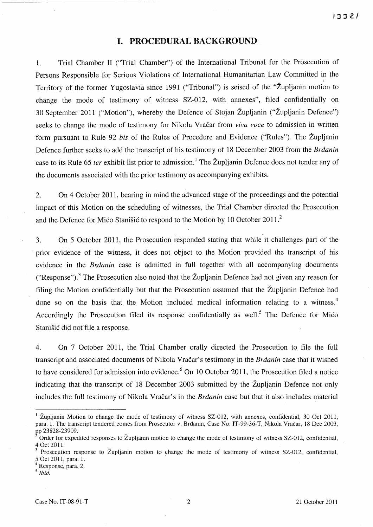## **I. PROCEDURAL BACKGROUND**

1. Trial Chamber II ("Trial Chamber") of the International Tribunal for the Prosecution of Persons Responsible for Serious Violations of International Humanitarian Law Committed in the Territory of the former Yugoslavia since 1991 ("Tribunal") is seised of the "Zupljanin motion to change the mode of testimony of witness SZ-012, with annexes", filed confidentially on 30 September 2011 ("Motion"), whereby the Defence of Stojan Zupljanin ("Zupljanin Defence") seeks to change the mode of testimony for Nikola Vracar from *viva voce* to admission in written form pursuant to Rule 92 *bis* of the Rules of Procedure and Evidence ("Rules"). The Župljanin Defence further seeks to add the transcript of his testimony of 18 December 2003 from the *Brdanin*  case to its Rule 65 *ter* exhibit list prior to admission.! The Zupljanin Defence does not tender any of the documents associated with the prior testimony as accompanying exhibits.

2. On 4 October 2011, bearing in mind the advanced stage of the proceedings and the potential impact of this Motion on the scheduling of witnesses, the Trial Chamber directed the Prosecution and the Defence for Mico Stanisic to respond to the Motion by 10 October 2011.<sup>2</sup>

3. On 5 October 2011, the Prosecution responded stating that while it challenges part of the prior evidence of the witness, it does not object to the Motion provided the transcript of his evidence in the *Brdanin* case is admitted in full together with all accompanying documents ("Response").<sup>3</sup> The Prosecution also noted that the Župljanin Defence had not given any reason for filing the Motion confidentially but that the Prosecution assumed that the Zupljanin Defence had done so on the basis that the Motion included medical information relating to a witness.<sup>4</sup> Accordingly the Prosecution filed its response confidentially as well.<sup>5</sup> The Defence for Mico Stanisic did not file a response.

4. On 7 October 2011, the Trial Chamber orally directed the Prosecution to file the full transcript and associated documents of Nikola Vracar's testimony in the *Brdanin* case that it wished to have considered for admission into evidence.<sup>6</sup> On 10 October 2011, the Prosecution filed a notice indicating that the transcript of 18 December 2003 submitted by the Župljanin Defence not only includes the full testimony of Nikola Vračar's in the *Brdanin* case but that it also includes material

<sup>&</sup>lt;sup>1</sup> Župljanin Motion to change the mode of testimony of witness SZ-012, with annexes, confidential, 30 Oct 2011, para. 1. The transcript tendered comes from Prosecutor v. Brdanin, Case No. IT-99-36-T, Nikola Vracar, 18 Dec 2003, pp 23828-23909.

Order for expedited responses to Zupljanin motion to change the mode of testimony of witness SZ-012, confidential, 4 Oct 2011.

Prosecution response to Župljanin motion to change the mode of testimony of witness SZ-012, confidential, 5 Oct 2011, para. 1.

Response, para. 2.

*<sup>5</sup> Ibid.*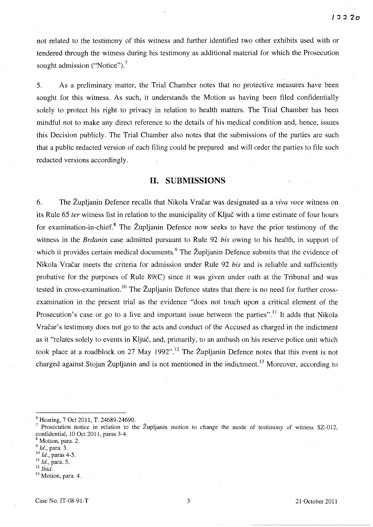not related to the testimony of this witness and further identified two other exhibits used with or tendered through the witness during his testimony as additional material for which the Prosecution sought admission ("Notice"). $^7$ 

5. As a preliminary matter, the Trial Chamber notes that no protective measures have been sought for this witness. As such, it understands the Motion as having been filed confidentially solely to protect his right to privacy in relation to health matters. The Trial Chamber has been mindful not to make any direct reference to the details of his medical condition and, hence, issues this Decision publicly. The Trial Chamber also notes that the submissions of the parties are such that a public redacted version of each filing could be prepared and will order the parties to file such redacted versions accordingly.

## **H. SUBMISSIONS**

6. The Zupljanin Defence recalls that Nikola Vracar was designated as a *viva voce* witness on its Rule 65 *ter* witness list in relation to the municipality of Kljuc with a time estimate of four hours for examination-in-chief.<sup>8</sup> The Župljanin Defence now seeks to have the prior testimony of the witness in the *Brdanin* case admitted pursuant to Rule 92 *his* owing to his health, in support of which it provides certain medical documents.<sup>9</sup> The Župljanin Defence submits that the evidence of Nikola Vracar meets the criteria for admission under Rule 92 *his* and is reliable and sufficiently probative for the purposes of Rule 89(C) since it was given under oath at the Tribunal and was tested in cross-examination.<sup>10</sup> The Župljanin Defence states that there is no need for further crossexamination in the present trial as the evidence "does not touch upon a critical element of the Prosecution's case or go to a live and important issue between the parties".<sup>11</sup> It adds that Nikola Vracar's testimony does not go to the acts and conduct of the Accused as charged in the indictment as it "relates solely to events in Kljuc, and, primarily, to an ambush on his reserve police unit which took place at a roadblock on 27 May 1992".<sup>12</sup> The Župljanin Defence notes that this event is not charged against Stojan Župljanin and is not mentioned in the indictment.<sup>13</sup> Moreover, according to

<sup>12</sup>*Ibid.* 

<sup>6</sup> Hearing, 7 Oct 2011, T. 24689-24690.

Prosecution notice in relation to the Župljanin motion to change the mode of testimony of witness SZ-012, confidential, 10 Oct 2011, paras 3-4.

Motion, para. 2.

*<sup>9</sup> Id.,* para. 3.

<sup>10</sup>*Id.,* paras 4-5.

<sup>11</sup>*Id.,* para. 5.

<sup>&</sup>lt;sup>13</sup> Motion, para. 4.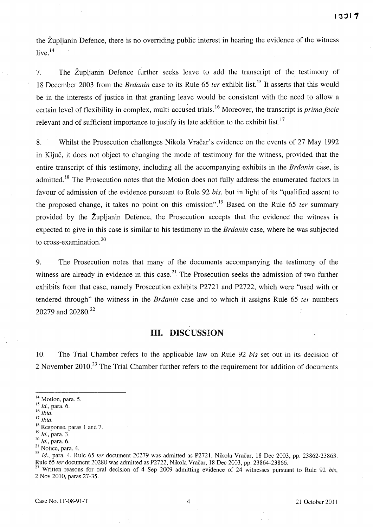the Zupljanin Defence, there is no overriding public interest in hearing the evidence of the witness live.<sup>14</sup>

7. The Zupljanin Defence further seeks leave to add the transcript of the testimony of 18 December 2003 from the *Brdanin* case to its Rule 65 *ter* exhibit list.<sup>15</sup> It asserts that this would be in the interests of justice in that granting leave would be consistent with the need to allow a certain level of flexibility in complex, multi-accused trials.<sup>16</sup> Moreover, the transcript is *prima facie* relevant and of sufficient importance to justify its late addition to the exhibit list.<sup>17</sup>

8. Whilst the Prosecution challenges Nikola Vracar's evidence on the events of 27 May 1992 in Kljuc, it does not object to changing the mode of testimony for the witness, provided that the entire transcript of this testimony, including all the accompanying exhibits in the *Brdanin* case, is admitted.<sup>18</sup> The Prosecution notes that the Motion does not fully address the enumerated factors in favour of admission of the evidence pursuant to Rule 92 *his,* but in light of its "qualified assent to the proposed change, it takes no point on this omission" .19 Based on the Rule 65 *ter* summary provided by the  $\tilde{Z}$ upljanin Defence, the Prosecution accepts that the evidence the witness is expected to give in this case is similar to his testimony in the *Brdanin* case, where he was subjected to cross-examination.2o

9. The Prosecution notes that many of the documents accompanying the testimony of the witness are already in evidence in this case.<sup>21</sup> The Prosecution seeks the admission of two further exhibits from that case, namely Prosecution exhibits P272l and P2722, which were "used with or tendered through" the witness in the *Brdanin* case and to which it assigns Rule 65 *ter* numbers 20279 and 20280.<sup>22</sup>

# **HI. DISCUSSION**

10. The Trial Chamber refers to the applicable law on Rule 92 *his* set out in its decision of 2 November 2010.<sup>23</sup> The Trial Chamber further refers to the requirement for addition of documents

<sup>22</sup> Id., para. 4. Rule 65 ter document 20279 was admitted as P2721, Nikola Vračar, 18 Dec 2003, pp. 23862-23863. Rule 65 fer document 20280 was admitted as P2722, Nikola Vracar, 18 Dec 2003, pp. 23864-23866.

<sup>&</sup>lt;sup>14</sup> Motion, para. 5.

<sup>15</sup>*Id.,* para. 6.

<sup>16</sup>*Ibid.* 

<sup>17</sup>*Ibid.* 

<sup>18</sup> Response, paras 1 and 7.

<sup>19</sup>*Id.,* para. 3.

*<sup>20</sup> Id.,* para. 6.

<sup>&</sup>lt;sup>21</sup> Notice, para. 4.

<sup>23</sup> Written reasons for oral decision of 4 Sep 2009 admitting evidence of 24 witnesses pursuant to Rule 92 *bis,*  2 Nov 2010, paras 27-35.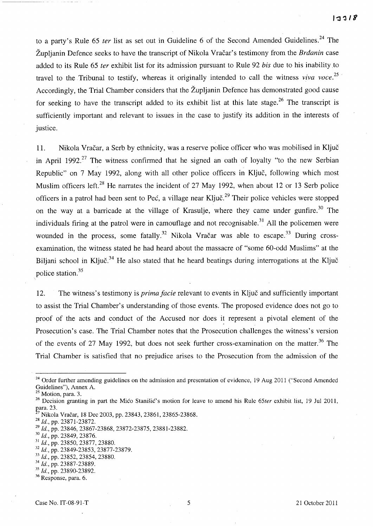to a party's Rule 65 *ter* list as set out in Guideline 6 of the Second Amended Guidelines. 24 The Zupljanin Defence seeks to have the transcript of Nikola Vracar's testimony from the *Brdanin* case added to its Rule 65 *ter* exhibit list for its admission pursuant to Rule 92 *his* due to his inability.to travel to the Tribunal to testify, whereas it originally intended to call the witness *viva voce. 25*  Accordingly, the Trial Chamber considers that the Zupljanin Defence has demonstrated good cause for seeking to have the transcript added to its exhibit list at this late stage.<sup>26</sup> The transcript is sufficiently important and relevant to issues in the case to justify its addition in the interests of justice.

11. Nikola Vracar, a Serb by ethnicity, was a reserve police officer who was mobilised in Kljuc in April 1992.<sup>27</sup> The witness confirmed that he signed an oath of loyalty "to the new Serbian" Republic" on 7 May 1992, along with all other police officers in Kljuc, following which most Muslim officers left.<sup>28</sup> He narrates the incident of 27 May 1992, when about 12 or 13 Serb police officers in a patrol had been sent to Peć, a village near Ključ.<sup>29</sup> Their police vehicles were stopped on the way at a barricade at the village of Krasulje, where they came under gunfire.<sup>30</sup> The individuals firing at the patrol were in camouflage and not recognisable.<sup>31</sup> All the policemen were wounded in the process, some fatally.<sup>32</sup> Nikola Vračar was able to escape.<sup>33</sup> During crossexamination, the witness stated he had heard about the massacre of "some 60-odd Muslims" at the Biljani school in Ključ.<sup>34</sup> He also stated that he heard beatings during interrogations at the Ključ police station.<sup>35</sup>

12. The witness's testimony is *prima facie* relevant to events in Kljuc and sufficiently important to assist the Trial Chamber's understanding of those events. The proposed evidence does not go to proof of the acts and conduct of the Accused nor does it represent a pivotal element of the Prosecution's case. The Trial Chamber notes that the Prosecution challenges the witness's version of the events of 27 May 1992, but does not seek further cross-examination on the matter.<sup>36</sup> The Trial Chamber is satisfied that no prejudice arises to the Prosecution from the admission of the

<sup>&</sup>lt;sup>24</sup> Order further amending guidelines on the admission and presentation of evidence, 19 Aug 2011 ("Second Amended Guidelines"), Annex A.

Motion, para. 3.

<sup>26</sup> Decision granting in part the Mico Stanisic's motion for leave to amend his Rule *65ter* exhibit list, 19 Jul 2011, para. 23.

Nikola Vračar, 18 Dec 2003, pp. 23843, 23861, 23865-23868.

 $^{28}$  Id., pp. 23871-23872.

*<sup>29</sup> Id.,* pp. 23846, 23867-23868, 23872-23875, 23881-23882.

*<sup>30</sup> Id.,* pp. 23849, 23876.

<sup>&</sup>lt;sup>31</sup> *Id.*, pp. 23850, 23877, 23880.<br><sup>32</sup> *Id.*, pp. 23849-23853, 23877-23879.

<sup>&</sup>lt;sup>33</sup> Id., pp. 23852, 23854, 23880.

*<sup>34</sup> Id.,* pp. 23887-23889.

*<sup>35</sup> Id.,* pp. 23890-23892.

<sup>36</sup> Response, para. 6.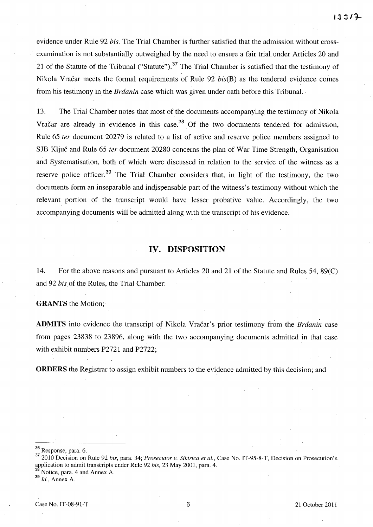evidence under Rule 92 *bis.* The Trial Chamber is further satisfied that the admission without crossexamination is not substantially outweighed by the need to ensure a fair trial under Articles 20 and 21 of the Statute of the Tribunal ("Statute").<sup>37</sup> The Trial Chamber is satisfied that the testimony of Nikola Vračar meets the formal requirements of Rule 92 *bis(B)* as the tendered evidence comes from his testimony in the *Brdanin* case which was given under oath before this Tribunal.

13. The Trial Chamber notes that most of the documents accompanying the testimony of Nikola Vracar are already in evidence in this case.<sup>38</sup> Of the two documents tendered for admission, Rule 65 fer document 20279 is related to a list of active and reserve police members assigned to SJB Ključ and Rule 65 *ter* document 20280 concerns the plan of War Time Strength, Organisation and Systematisation, both of which were discussed in relation to the service of the witness as a reserve police officer.<sup>39</sup> The Trial Chamber considers that, in light of the testimony, the two documents form an inseparable and indispensable part of the witness's testimony without which the relevant portion of the transcript would have lesser probative value. Accordingiy, the two accompanying documents will be admitted along with the transcript of his evidence.

#### **IV. DISPOSITION**

14. For the above reasons and pursuant to Articles 20 and 21 of the Statute and Rules 54, 89(C) and 92 *bis,* of the Rules, the Trial Chamber:

**GRANTS** the Motion;

**ADMITS** into evidence the transcript of Nikola Vracar's prior testimony from the *Brdanin* case from pages 23838 to 23896, along with the two accompanying documents admitted in that case with exhibit numbers P2721 and P2722;

**ORDERS** the Registrar to assign exhibit numbers to the evidence admitted by this decision; and

Notice, para. 4 and Annex A.

<sup>36</sup> Response, para. 6.

<sup>37</sup> 2010 Decision on Rule 92 *his,* para: 34; *'Prosecutor v. Sikirica et al.,* Case No. IT-95-8-T, Decision on Prosecution's application to admit transcripts under Rule 92 bis, 23 May 2001, para. 4.

<sup>39</sup> *Id.,* Annex A.